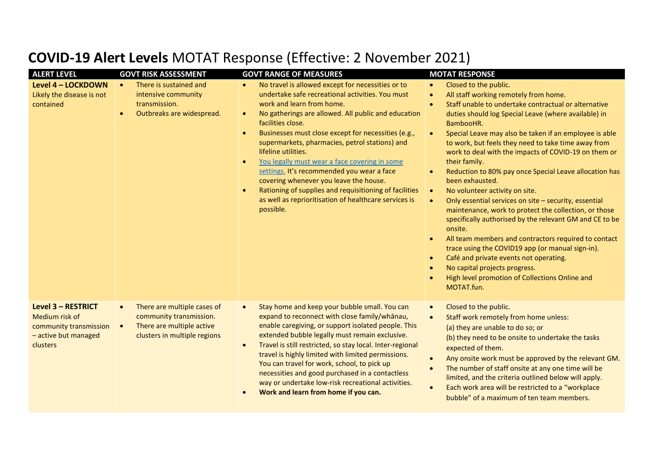| <b>ALERT LEVEL</b>                                                                                 | <b>GOVT RISK ASSESSMENT</b>                                                                                                      | <b>GOVT RANGE OF MEASURES</b>                                                                                                                                                                                                                                                                                                                                                                                                                                                                                                                                                                                                        | <b>MOTAT RESPONSE</b>                                                                                                                                                                                                                                                                                                                                                                                                                                                                                                                                                                                                                                                                                                                                                                                                                                                                                                                                                                                                                                                    |
|----------------------------------------------------------------------------------------------------|----------------------------------------------------------------------------------------------------------------------------------|--------------------------------------------------------------------------------------------------------------------------------------------------------------------------------------------------------------------------------------------------------------------------------------------------------------------------------------------------------------------------------------------------------------------------------------------------------------------------------------------------------------------------------------------------------------------------------------------------------------------------------------|--------------------------------------------------------------------------------------------------------------------------------------------------------------------------------------------------------------------------------------------------------------------------------------------------------------------------------------------------------------------------------------------------------------------------------------------------------------------------------------------------------------------------------------------------------------------------------------------------------------------------------------------------------------------------------------------------------------------------------------------------------------------------------------------------------------------------------------------------------------------------------------------------------------------------------------------------------------------------------------------------------------------------------------------------------------------------|
| Level 4 - LOCKDOWN<br>Likely the disease is not<br>contained                                       | There is sustained and<br>$\bullet$<br>intensive community<br>transmission.<br>Outbreaks are widespread.                         | No travel is allowed except for necessities or to<br>$\bullet$<br>undertake safe recreational activities. You must<br>work and learn from home.<br>No gatherings are allowed. All public and education<br>facilities close.<br>Businesses must close except for necessities (e.g.,<br>supermarkets, pharmacies, petrol stations) and<br>lifeline utilities.<br>You legally must wear a face covering in some<br>settings. It's recommended you wear a face<br>covering whenever you leave the house.<br>Rationing of supplies and requisitioning of facilities<br>as well as reprioritisation of healthcare services is<br>possible. | Closed to the public.<br>$\bullet$<br>All staff working remotely from home.<br>$\bullet$<br>Staff unable to undertake contractual or alternative<br>$\bullet$<br>duties should log Special Leave (where available) in<br>BambooHR.<br>Special Leave may also be taken if an employee is able<br>$\bullet$<br>to work, but feels they need to take time away from<br>work to deal with the impacts of COVID-19 on them or<br>their family.<br>Reduction to 80% pay once Special Leave allocation has<br>$\bullet$<br>been exhausted.<br>No volunteer activity on site.<br>$\bullet$<br>Only essential services on site - security, essential<br>$\bullet$<br>maintenance, work to protect the collection, or those<br>specifically authorised by the relevant GM and CE to be<br>onsite.<br>All team members and contractors required to contact<br>trace using the COVID19 app (or manual sign-in).<br>Café and private events not operating.<br>$\bullet$<br>No capital projects progress.<br>$\bullet$<br>High level promotion of Collections Online and<br>MOTAT.fun. |
| Level 3 - RESTRICT<br>Medium risk of<br>community transmission<br>- active but managed<br>clusters | There are multiple cases of<br>community transmission.<br>There are multiple active<br>$\bullet$<br>clusters in multiple regions | Stay home and keep your bubble small. You can<br>$\bullet$<br>expand to reconnect with close family/whanau,<br>enable caregiving, or support isolated people. This<br>extended bubble legally must remain exclusive.<br>Travel is still restricted, so stay local. Inter-regional<br>$\bullet$<br>travel is highly limited with limited permissions.<br>You can travel for work, school, to pick up<br>necessities and good purchased in a contactless<br>way or undertake low-risk recreational activities.<br>Work and learn from home if you can.                                                                                 | Closed to the public.<br>$\bullet$<br>Staff work remotely from home unless:<br>$\bullet$<br>(a) they are unable to do so; or<br>(b) they need to be onsite to undertake the tasks<br>expected of them.<br>Any onsite work must be approved by the relevant GM.<br>$\bullet$<br>The number of staff onsite at any one time will be<br>$\bullet$<br>limited, and the criteria outlined below will apply.<br>Each work area will be restricted to a "workplace<br>$\bullet$<br>bubble" of a maximum of ten team members.                                                                                                                                                                                                                                                                                                                                                                                                                                                                                                                                                    |

## **COVID-19 Alert Levels** MOTAT Response (Effective: 2 November 2021)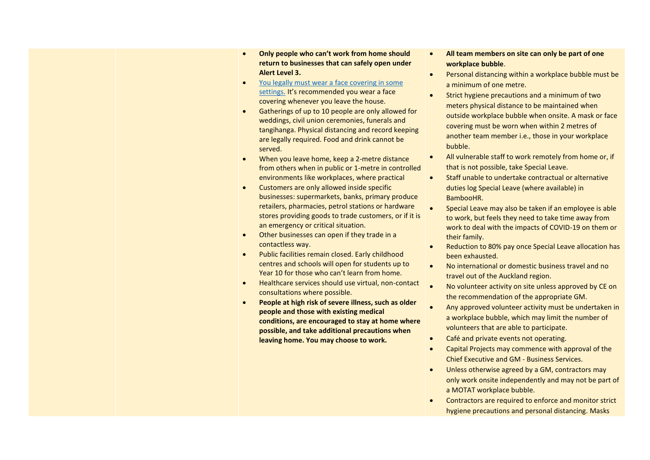- **Only people who can't work from home should return to businesses that can safely open under Alert Level 3.**
- [You legally must wear a face covering in some](https://covid19.govt.nz/health-and-wellbeing/protect-yourself-and-others-from-covid-19/wear-a-face-covering/)  [settings.](https://covid19.govt.nz/health-and-wellbeing/protect-yourself-and-others-from-covid-19/wear-a-face-covering/) It's recommended you wear a face covering whenever you leave the house.
- Gatherings of up to 10 people are only allowed for weddings, civil union ceremonies, funerals and tangihanga. Physical distancing and record keeping are legally required. Food and drink cannot be served.
- When you leave home, keep a 2-metre distance from others when in public or 1-metre in controlled environments like workplaces, where practical
- Customers are only allowed inside specific businesses: supermarkets, banks, primary produce retailers, pharmacies, petrol stations or hardware stores providing goods to trade customers, or if it is an emergency or critical situation.
- Other businesses can open if they trade in a contactless way.
- Public facilities remain closed. Early childhood centres and schools will open for students up to Year 10 for those who can't learn from home.
- Healthcare services should use virtual, non-contact consultations where possible.
- **People at high risk of severe illness, such as older people and those with existing medical conditions, are encouraged to stay at home where possible, and take additional precautions when leaving home. You may choose to work.**
- **All team members on site can only be part of one workplace bubble**.
- Personal distancing within a workplace bubble must be a minimum of one metre.
- Strict hygiene precautions and a minimum of two meters physical distance to be maintained when outside workplace bubble when onsite. A mask or face covering must be worn when within 2 metres of another team member i.e., those in your workplace bubble.
- All vulnerable staff to work remotely from home or, if that is not possible, take Special Leave.
- Staff unable to undertake contractual or alternative duties log Special Leave (where available) in BambooHR.
- Special Leave may also be taken if an employee is able to work, but feels they need to take time away from work to deal with the impacts of COVID-19 on them or their family.
- Reduction to 80% pay once Special Leave allocation has been exhausted.
- No international or domestic business travel and no travel out of the Auckland region.
- No volunteer activity on site unless approved by CE on the recommendation of the appropriate GM.
- Any approved volunteer activity must be undertaken in a workplace bubble, which may limit the number of volunteers that are able to participate.
- Café and private events not operating.
- Capital Projects may commence with approval of the Chief Executive and GM - Business Services.
- Unless otherwise agreed by a GM, contractors may only work onsite independently and may not be part of a MOTAT workplace bubble.
- Contractors are required to enforce and monitor strict hygiene precautions and personal distancing. Masks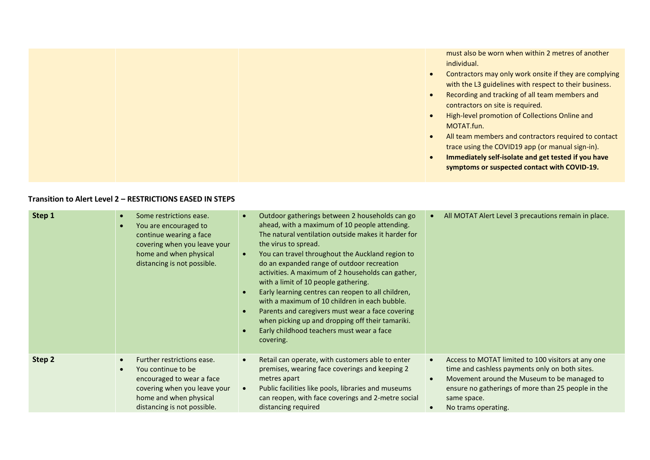|  | must also be worn when within 2 metres of another<br>individual.<br>Contractors may only work onsite if they are complying<br>with the L3 guidelines with respect to their business.<br>Recording and tracking of all team members and<br>contractors on site is required.<br>High-level promotion of Collections Online and<br>MOTAT.fun.<br>All team members and contractors required to contact<br>trace using the COVID19 app (or manual sign-in).<br>Immediately self-isolate and get tested if you have<br>symptoms or suspected contact with COVID-19. |
|--|---------------------------------------------------------------------------------------------------------------------------------------------------------------------------------------------------------------------------------------------------------------------------------------------------------------------------------------------------------------------------------------------------------------------------------------------------------------------------------------------------------------------------------------------------------------|
|--|---------------------------------------------------------------------------------------------------------------------------------------------------------------------------------------------------------------------------------------------------------------------------------------------------------------------------------------------------------------------------------------------------------------------------------------------------------------------------------------------------------------------------------------------------------------|

## **Transition to Alert Level 2 – RESTRICTIONS EASED IN STEPS**

| Step 1 | Some restrictions ease.<br>You are encouraged to<br>continue wearing a face<br>covering when you leave your<br>home and when physical<br>distancing is not possible.   | Outdoor gatherings between 2 households can go<br>$\bullet$<br>ahead, with a maximum of 10 people attending.<br>The natural ventilation outside makes it harder for<br>the virus to spread.<br>You can travel throughout the Auckland region to<br>$\bullet$<br>do an expanded range of outdoor recreation<br>activities. A maximum of 2 households can gather,<br>with a limit of 10 people gathering.<br>Early learning centres can reopen to all children,<br>with a maximum of 10 children in each bubble.<br>Parents and caregivers must wear a face covering<br>when picking up and dropping off their tamariki.<br>Early childhood teachers must wear a face<br>covering. | All MOTAT Alert Level 3 precautions remain in place.                                                                                                                                                                                            |
|--------|------------------------------------------------------------------------------------------------------------------------------------------------------------------------|----------------------------------------------------------------------------------------------------------------------------------------------------------------------------------------------------------------------------------------------------------------------------------------------------------------------------------------------------------------------------------------------------------------------------------------------------------------------------------------------------------------------------------------------------------------------------------------------------------------------------------------------------------------------------------|-------------------------------------------------------------------------------------------------------------------------------------------------------------------------------------------------------------------------------------------------|
| Step 2 | Further restrictions ease.<br>You continue to be<br>encouraged to wear a face<br>covering when you leave your<br>home and when physical<br>distancing is not possible. | Retail can operate, with customers able to enter<br>$\bullet$<br>premises, wearing face coverings and keeping 2<br>metres apart<br>Public facilities like pools, libraries and museums<br>$\bullet$<br>can reopen, with face coverings and 2-metre social<br>distancing required                                                                                                                                                                                                                                                                                                                                                                                                 | Access to MOTAT limited to 100 visitors at any one<br>time and cashless payments only on both sites.<br>Movement around the Museum to be managed to<br>ensure no gatherings of more than 25 people in the<br>same space.<br>No trams operating. |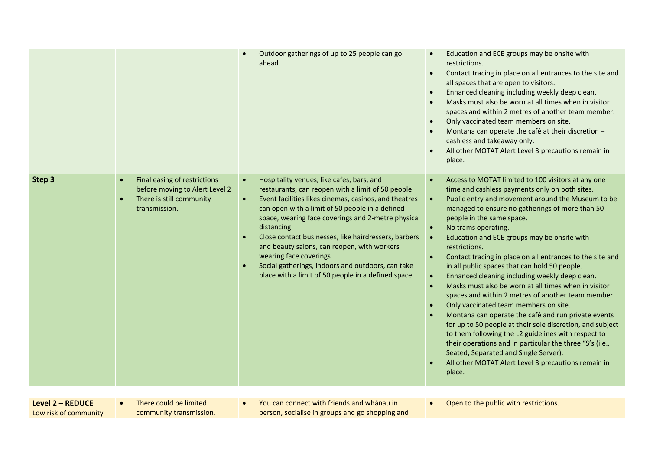|        |                                                                                                                          | Outdoor gatherings of up to 25 people can go<br>ahead.                                                                                                                                                                                                                                                                                                                                                                                                                                                                                                | Education and ECE groups may be onsite with<br>$\bullet$<br>restrictions.<br>Contact tracing in place on all entrances to the site and<br>$\bullet$<br>all spaces that are open to visitors.<br>Enhanced cleaning including weekly deep clean.<br>$\bullet$<br>Masks must also be worn at all times when in visitor<br>$\bullet$<br>spaces and within 2 metres of another team member.<br>Only vaccinated team members on site.<br>$\bullet$<br>Montana can operate the café at their discretion -<br>$\bullet$<br>cashless and takeaway only.<br>All other MOTAT Alert Level 3 precautions remain in<br>$\bullet$<br>place.                                                                                                                                                                                                                                                                                                                                                                                                                                                                                     |
|--------|--------------------------------------------------------------------------------------------------------------------------|-------------------------------------------------------------------------------------------------------------------------------------------------------------------------------------------------------------------------------------------------------------------------------------------------------------------------------------------------------------------------------------------------------------------------------------------------------------------------------------------------------------------------------------------------------|------------------------------------------------------------------------------------------------------------------------------------------------------------------------------------------------------------------------------------------------------------------------------------------------------------------------------------------------------------------------------------------------------------------------------------------------------------------------------------------------------------------------------------------------------------------------------------------------------------------------------------------------------------------------------------------------------------------------------------------------------------------------------------------------------------------------------------------------------------------------------------------------------------------------------------------------------------------------------------------------------------------------------------------------------------------------------------------------------------------|
| Step 3 | Final easing of restrictions<br>$\bullet$<br>before moving to Alert Level 2<br>There is still community<br>transmission. | Hospitality venues, like cafes, bars, and<br>$\bullet$<br>restaurants, can reopen with a limit of 50 people<br>Event facilities likes cinemas, casinos, and theatres<br>$\bullet$<br>can open with a limit of 50 people in a defined<br>space, wearing face coverings and 2-metre physical<br>distancing<br>Close contact businesses, like hairdressers, barbers<br>and beauty salons, can reopen, with workers<br>wearing face coverings<br>Social gatherings, indoors and outdoors, can take<br>place with a limit of 50 people in a defined space. | Access to MOTAT limited to 100 visitors at any one<br>$\bullet$<br>time and cashless payments only on both sites.<br>Public entry and movement around the Museum to be<br>$\bullet$<br>managed to ensure no gatherings of more than 50<br>people in the same space.<br>No trams operating.<br>$\bullet$<br>Education and ECE groups may be onsite with<br>restrictions.<br>Contact tracing in place on all entrances to the site and<br>$\bullet$<br>in all public spaces that can hold 50 people.<br>Enhanced cleaning including weekly deep clean.<br>$\bullet$<br>Masks must also be worn at all times when in visitor<br>$\bullet$<br>spaces and within 2 metres of another team member.<br>Only vaccinated team members on site.<br>$\bullet$<br>Montana can operate the café and run private events<br>for up to 50 people at their sole discretion, and subject<br>to them following the L2 guidelines with respect to<br>their operations and in particular the three "S's (i.e.,<br>Seated, Separated and Single Server).<br>All other MOTAT Alert Level 3 precautions remain in<br>$\bullet$<br>place. |

**Level 2 – REDUCE** Low risk of community • There could be limited community transmission. • You can connect with friends and whānau in person, socialise in groups and go shopping and • Open to the public with restrictions.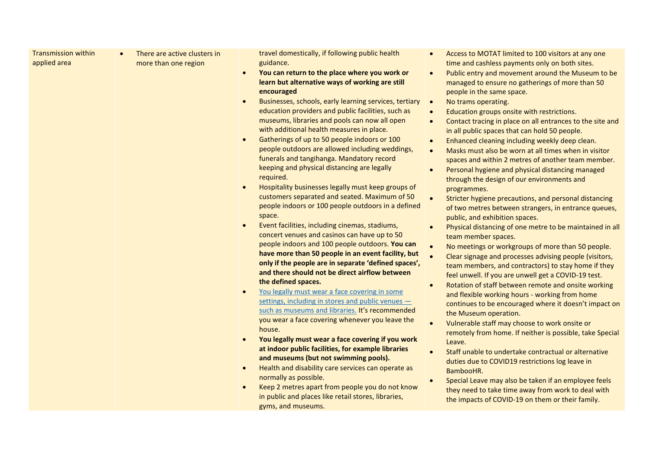| applied area | There are active clusters in<br>more than one region | travel domestically, if following public health<br>guidance.<br>You can return to the place where you work or<br>$\bullet$<br>learn but alternative ways of working are still<br>encouraged<br>Businesses, schools, early learning services, tertiary<br>$\bullet$<br>education providers and public facilities, such as<br>museums, libraries and pools can now all open<br>with additional health measures in place.<br>Gatherings of up to 50 people indoors or 100<br>$\bullet$<br>people outdoors are allowed including weddings,<br>funerals and tangihanga. Mandatory record<br>keeping and physical distancing are legally<br>required.<br>Hospitality businesses legally must keep groups of<br>customers separated and seated. Maximum of 50<br>people indoors or 100 people outdoors in a defined<br>space.<br>Event facilities, including cinemas, stadiums,<br>concert venues and casinos can have up to 50<br>people indoors and 100 people outdoors. You can<br>have more than 50 people in an event facility, but<br>only if the people are in separate 'defined spaces',<br>and there should not be direct airflow between<br>the defined spaces.<br>You legally must wear a face covering in some<br>$\bullet$<br>settings, including in stores and public venues -<br>such as museums and libraries. It's recommended<br>you wear a face covering whenever you leave the<br>house.<br>You legally must wear a face covering if you work<br>at indoor public facilities, for example libraries<br>and museums (but not swimming pools).<br>Health and disability care services can operate as<br>normally as possible.<br>Keep 2 metres apart from people you do not know<br>in public and places like retail stores, libraries,<br>gyms, and museums. | Access to MOTAT limited to 100 visitors at any one<br>$\bullet$<br>time and cashless payments only on both sites.<br>Public entry and movement around the Museum to be<br>$\bullet$<br>managed to ensure no gatherings of more than 50<br>people in the same space.<br>No trams operating.<br>$\bullet$<br>Education groups onsite with restrictions.<br>$\bullet$<br>Contact tracing in place on all entrances to the site and<br>$\bullet$<br>in all public spaces that can hold 50 people.<br>Enhanced cleaning including weekly deep clean.<br>$\bullet$<br>Masks must also be worn at all times when in visitor<br>$\bullet$<br>spaces and within 2 metres of another team member.<br>Personal hygiene and physical distancing managed<br>$\bullet$<br>through the design of our environments and<br>programmes.<br>$\bullet$<br>Stricter hygiene precautions, and personal distancing<br>of two metres between strangers, in entrance queues,<br>public, and exhibition spaces.<br>Physical distancing of one metre to be maintained in all<br>$\bullet$<br>team member spaces.<br>No meetings or workgroups of more than 50 people.<br>$\bullet$<br>$\bullet$<br>Clear signage and processes advising people (visitors,<br>team members, and contractors) to stay home if they<br>feel unwell. If you are unwell get a COVID-19 test.<br>Rotation of staff between remote and onsite working<br>$\bullet$<br>and flexible working hours - working from home<br>continues to be encouraged where it doesn't impact on<br>the Museum operation.<br>Vulnerable staff may choose to work onsite or<br>$\bullet$<br>remotely from home. If neither is possible, take Special<br>Leave.<br>Staff unable to undertake contractual or alternative<br>$\bullet$<br>duties due to COVID19 restrictions log leave in<br>BambooHR.<br>Special Leave may also be taken if an employee feels<br>$\bullet$<br>they need to take time away from work to deal with<br>the impacts of COVID-19 on them or their family. |
|--------------|------------------------------------------------------|--------------------------------------------------------------------------------------------------------------------------------------------------------------------------------------------------------------------------------------------------------------------------------------------------------------------------------------------------------------------------------------------------------------------------------------------------------------------------------------------------------------------------------------------------------------------------------------------------------------------------------------------------------------------------------------------------------------------------------------------------------------------------------------------------------------------------------------------------------------------------------------------------------------------------------------------------------------------------------------------------------------------------------------------------------------------------------------------------------------------------------------------------------------------------------------------------------------------------------------------------------------------------------------------------------------------------------------------------------------------------------------------------------------------------------------------------------------------------------------------------------------------------------------------------------------------------------------------------------------------------------------------------------------------------------------------------------------------------------------------------------------------------|--------------------------------------------------------------------------------------------------------------------------------------------------------------------------------------------------------------------------------------------------------------------------------------------------------------------------------------------------------------------------------------------------------------------------------------------------------------------------------------------------------------------------------------------------------------------------------------------------------------------------------------------------------------------------------------------------------------------------------------------------------------------------------------------------------------------------------------------------------------------------------------------------------------------------------------------------------------------------------------------------------------------------------------------------------------------------------------------------------------------------------------------------------------------------------------------------------------------------------------------------------------------------------------------------------------------------------------------------------------------------------------------------------------------------------------------------------------------------------------------------------------------------------------------------------------------------------------------------------------------------------------------------------------------------------------------------------------------------------------------------------------------------------------------------------------------------------------------------------------------------------------------------------------------------------------------------------------------------------------------------------------|
|--------------|------------------------------------------------------|--------------------------------------------------------------------------------------------------------------------------------------------------------------------------------------------------------------------------------------------------------------------------------------------------------------------------------------------------------------------------------------------------------------------------------------------------------------------------------------------------------------------------------------------------------------------------------------------------------------------------------------------------------------------------------------------------------------------------------------------------------------------------------------------------------------------------------------------------------------------------------------------------------------------------------------------------------------------------------------------------------------------------------------------------------------------------------------------------------------------------------------------------------------------------------------------------------------------------------------------------------------------------------------------------------------------------------------------------------------------------------------------------------------------------------------------------------------------------------------------------------------------------------------------------------------------------------------------------------------------------------------------------------------------------------------------------------------------------------------------------------------------------|--------------------------------------------------------------------------------------------------------------------------------------------------------------------------------------------------------------------------------------------------------------------------------------------------------------------------------------------------------------------------------------------------------------------------------------------------------------------------------------------------------------------------------------------------------------------------------------------------------------------------------------------------------------------------------------------------------------------------------------------------------------------------------------------------------------------------------------------------------------------------------------------------------------------------------------------------------------------------------------------------------------------------------------------------------------------------------------------------------------------------------------------------------------------------------------------------------------------------------------------------------------------------------------------------------------------------------------------------------------------------------------------------------------------------------------------------------------------------------------------------------------------------------------------------------------------------------------------------------------------------------------------------------------------------------------------------------------------------------------------------------------------------------------------------------------------------------------------------------------------------------------------------------------------------------------------------------------------------------------------------------------|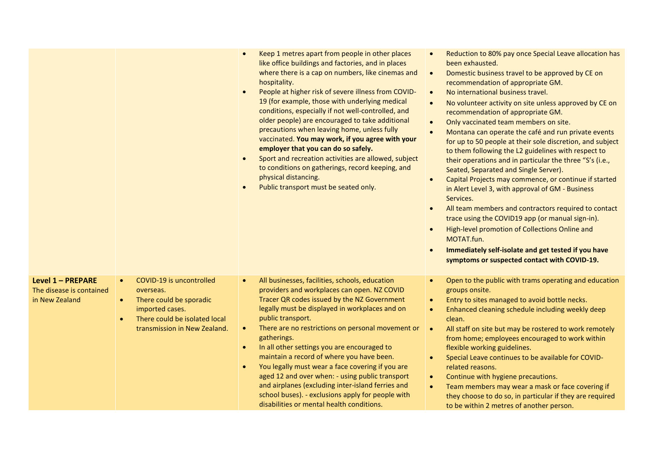|                                                                 |                                                                                                                                                                                | Keep 1 metres apart from people in other places<br>$\bullet$<br>like office buildings and factories, and in places<br>where there is a cap on numbers, like cinemas and<br>hospitality.<br>People at higher risk of severe illness from COVID-<br>$\bullet$<br>19 (for example, those with underlying medical<br>conditions, especially if not well-controlled, and<br>older people) are encouraged to take additional<br>precautions when leaving home, unless fully<br>vaccinated. You may work, if you agree with your<br>employer that you can do so safely.<br>Sport and recreation activities are allowed, subject<br>$\bullet$<br>to conditions on gatherings, record keeping, and<br>physical distancing.<br>Public transport must be seated only.<br>$\bullet$ | Reduction to 80% pay once Special Leave allocation has<br>$\bullet$<br>been exhausted.<br>Domestic business travel to be approved by CE on<br>$\bullet$<br>recommendation of appropriate GM.<br>No international business travel.<br>$\bullet$<br>No volunteer activity on site unless approved by CE on<br>$\bullet$<br>recommendation of appropriate GM.<br>Only vaccinated team members on site.<br>$\bullet$<br>Montana can operate the café and run private events<br>$\bullet$<br>for up to 50 people at their sole discretion, and subject<br>to them following the L2 guidelines with respect to<br>their operations and in particular the three "S's (i.e.,<br>Seated, Separated and Single Server).<br>Capital Projects may commence, or continue if started<br>$\bullet$<br>in Alert Level 3, with approval of GM - Business<br>Services.<br>All team members and contractors required to contact<br>$\bullet$<br>trace using the COVID19 app (or manual sign-in).<br>High-level promotion of Collections Online and<br>$\bullet$<br>MOTAT.fun.<br>Immediately self-isolate and get tested if you have<br>symptoms or suspected contact with COVID-19. |
|-----------------------------------------------------------------|--------------------------------------------------------------------------------------------------------------------------------------------------------------------------------|-------------------------------------------------------------------------------------------------------------------------------------------------------------------------------------------------------------------------------------------------------------------------------------------------------------------------------------------------------------------------------------------------------------------------------------------------------------------------------------------------------------------------------------------------------------------------------------------------------------------------------------------------------------------------------------------------------------------------------------------------------------------------|-------------------------------------------------------------------------------------------------------------------------------------------------------------------------------------------------------------------------------------------------------------------------------------------------------------------------------------------------------------------------------------------------------------------------------------------------------------------------------------------------------------------------------------------------------------------------------------------------------------------------------------------------------------------------------------------------------------------------------------------------------------------------------------------------------------------------------------------------------------------------------------------------------------------------------------------------------------------------------------------------------------------------------------------------------------------------------------------------------------------------------------------------------------------|
| Level 1 - PREPARE<br>The disease is contained<br>in New Zealand | COVID-19 is uncontrolled<br>$\bullet$<br>overseas.<br>There could be sporadic<br>$\bullet$<br>imported cases.<br>There could be isolated local<br>transmission in New Zealand. | All businesses, facilities, schools, education<br>$\bullet$<br>providers and workplaces can open. NZ COVID<br>Tracer QR codes issued by the NZ Government<br>legally must be displayed in workplaces and on<br>public transport.<br>There are no restrictions on personal movement or<br>gatherings.<br>In all other settings you are encouraged to<br>$\bullet$<br>maintain a record of where you have been.<br>You legally must wear a face covering if you are<br>aged 12 and over when: - using public transport<br>and airplanes (excluding inter-island ferries and<br>school buses). - exclusions apply for people with<br>disabilities or mental health conditions.                                                                                             | Open to the public with trams operating and education<br>$\bullet$<br>groups onsite.<br>Entry to sites managed to avoid bottle necks.<br>$\bullet$<br>Enhanced cleaning schedule including weekly deep<br>clean.<br>All staff on site but may be rostered to work remotely<br>from home; employees encouraged to work within<br>flexible working guidelines.<br>Special Leave continues to be available for COVID-<br>related reasons.<br>Continue with hygiene precautions.<br>$\bullet$<br>Team members may wear a mask or face covering if<br>$\bullet$<br>they choose to do so, in particular if they are required<br>to be within 2 metres of another person.                                                                                                                                                                                                                                                                                                                                                                                                                                                                                                |